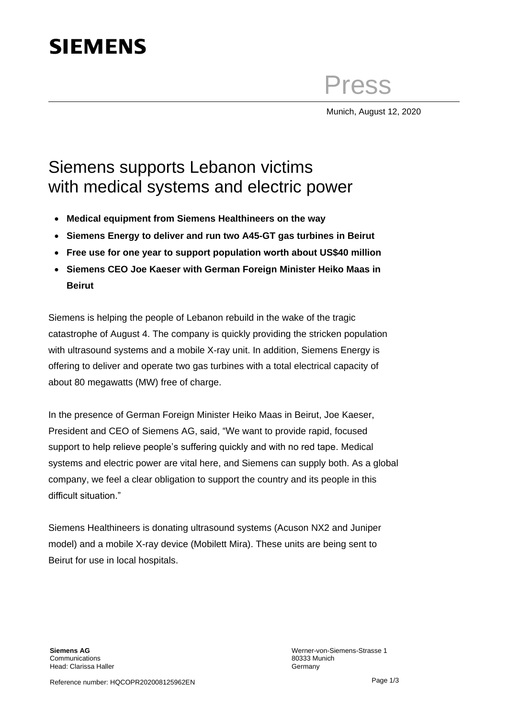## **SIEMENS**

Press

Munich, August 12, 2020

## Siemens supports Lebanon victims with medical systems and electric power

- **Medical equipment from Siemens Healthineers on the way**
- **Siemens Energy to deliver and run two A45-GT gas turbines in Beirut**
- **Free use for one year to support population worth about US\$40 million**
- **Siemens CEO Joe Kaeser with German Foreign Minister Heiko Maas in Beirut**

Siemens is helping the people of Lebanon rebuild in the wake of the tragic catastrophe of August 4. The company is quickly providing the stricken population with ultrasound systems and a mobile X-ray unit. In addition, Siemens Energy is offering to deliver and operate two gas turbines with a total electrical capacity of about 80 megawatts (MW) free of charge.

In the presence of German Foreign Minister Heiko Maas in Beirut, Joe Kaeser, President and CEO of Siemens AG, said, "We want to provide rapid, focused support to help relieve people's suffering quickly and with no red tape. Medical systems and electric power are vital here, and Siemens can supply both. As a global company, we feel a clear obligation to support the country and its people in this difficult situation."

Siemens Healthineers is donating ultrasound systems (Acuson NX2 and Juniper model) and a mobile X-ray device (Mobilett Mira). These units are being sent to Beirut for use in local hospitals.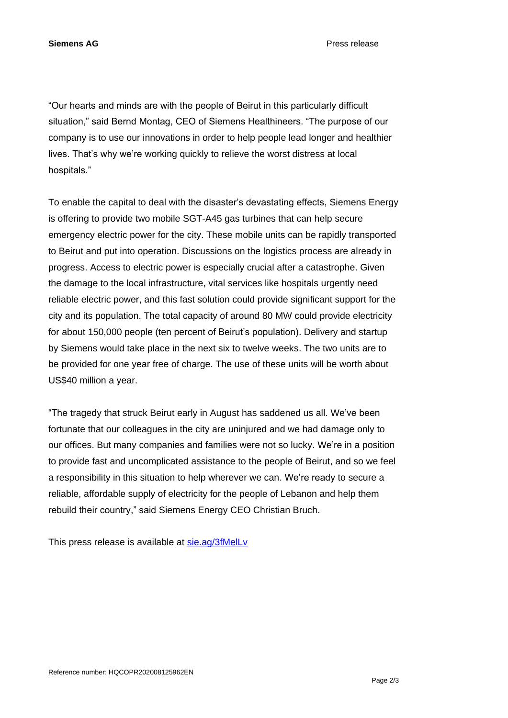**Siemens AG** Press release

"Our hearts and minds are with the people of Beirut in this particularly difficult situation," said Bernd Montag, CEO of Siemens Healthineers. "The purpose of our company is to use our innovations in order to help people lead longer and healthier lives. That's why we're working quickly to relieve the worst distress at local hospitals."

To enable the capital to deal with the disaster's devastating effects, Siemens Energy is offering to provide two mobile SGT-A45 gas turbines that can help secure emergency electric power for the city. These mobile units can be rapidly transported to Beirut and put into operation. Discussions on the logistics process are already in progress. Access to electric power is especially crucial after a catastrophe. Given the damage to the local infrastructure, vital services like hospitals urgently need reliable electric power, and this fast solution could provide significant support for the city and its population. The total capacity of around 80 MW could provide electricity for about 150,000 people (ten percent of Beirut's population). Delivery and startup by Siemens would take place in the next six to twelve weeks. The two units are to be provided for one year free of charge. The use of these units will be worth about US\$40 million a year.

"The tragedy that struck Beirut early in August has saddened us all. We've been fortunate that our colleagues in the city are uninjured and we had damage only to our offices. But many companies and families were not so lucky. We're in a position to provide fast and uncomplicated assistance to the people of Beirut, and so we feel a responsibility in this situation to help wherever we can. We're ready to secure a reliable, affordable supply of electricity for the people of Lebanon and help them rebuild their country," said Siemens Energy CEO Christian Bruch.

This press release is available at [sie.ag/3fMelLv](https://sie.ag/3fMelLv)